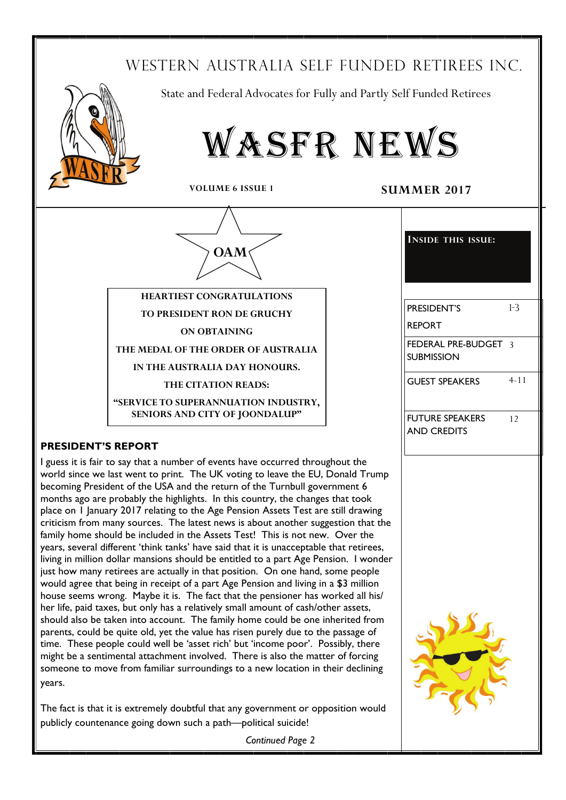# WESTERN AUSTRALIA SELF FUNDED RETIREES INC.



State and Federal Advocates for Fully and Partly Self Funded Retirees



**VOLUME 6 ISSUE 1** SUMMER 2017



**ON OBTAINING** 

**THE MEDAL OF THE ORDER OF AUSTRALIA** 

**IN THE AUSTRALIA DAY HONOURS.** 

**THE CITATION READS:** 

**"SERVICE TO SUPERANNUATION INDUSTRY, SENIORS AND CITY OF JOONDALUP"** 

## **PRESIDENT'S REPORT**

I guess it is fair to say that a number of events have occurred throughout the world since we last went to print. The UK voting to leave the EU, Donald Trump becoming President of the USA and the return of the Turnbull government 6 months ago are probably the highlights. In this country, the changes that took place on 1 January 2017 relating to the Age Pension Assets Test are still drawing criticism from many sources. The latest news is about another suggestion that the family home should be included in the Assets Test! This is not new. Over the years, several different 'think tanks' have said that it is unacceptable that retirees, living in million dollar mansions should be entitled to a part Age Pension. I wonder just how many retirees are actually in that position. On one hand, some people would agree that being in receipt of a part Age Pension and living in a \$3 million house seems wrong. Maybe it is. The fact that the pensioner has worked all his/ her life, paid taxes, but only has a relatively small amount of cash/other assets, should also be taken into account. The family home could be one inherited from parents, could be quite old, yet the value has risen purely due to the passage of time. These people could well be 'asset rich' but 'income poor'. Possibly, there might be a sentimental attachment involved. There is also the matter of forcing someone to move from familiar surroundings to a new location in their declining years.

The fact is that it is extremely doubtful that any government or opposition would publicly countenance going down such a path—political suicide!

| PRESIDENT'S                               | $1-3$   |
|-------------------------------------------|---------|
| <b>REPORT</b>                             |         |
| FEDERAL PRE-BUDGET 3<br><b>SUBMISSION</b> |         |
| <b>GUEST SPEAKERS</b>                     | $-4-11$ |
| <b>FUTURE SPEAKERS</b>                    | 12      |
| <b>AND CREDITS</b>                        |         |
|                                           |         |
|                                           |         |
|                                           |         |
|                                           |         |
|                                           |         |

**INSIDE THIS ISSUE:**

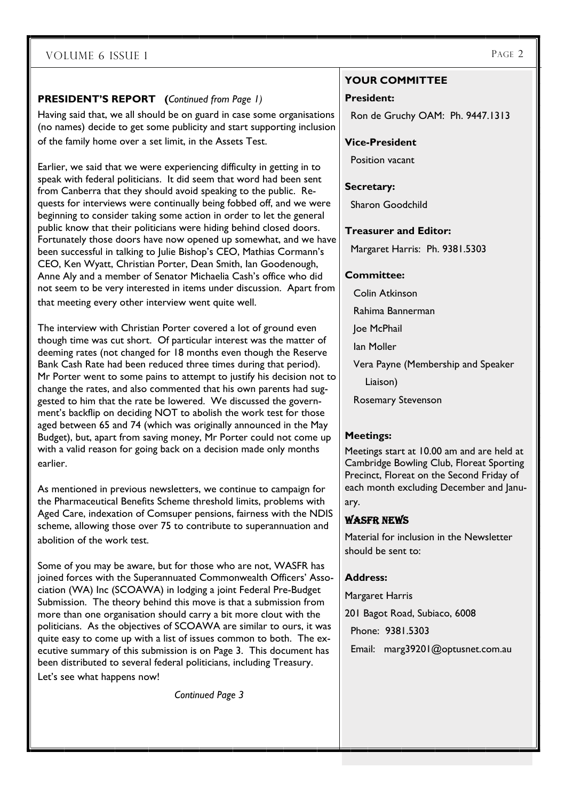## **PRESIDENT'S REPORT (***Continued from Page 1)*

Having said that, we all should be on guard in case some organisations (no names) decide to get some publicity and start supporting inclusion of the family home over a set limit, in the Assets Test.

Earlier, we said that we were experiencing difficulty in getting in to speak with federal politicians. It did seem that word had been sent from Canberra that they should avoid speaking to the public. Requests for interviews were continually being fobbed off, and we were beginning to consider taking some action in order to let the general public know that their politicians were hiding behind closed doors. Fortunately those doors have now opened up somewhat, and we have been successful in talking to Julie Bishop's CEO, Mathias Cormann's CEO, Ken Wyatt, Christian Porter, Dean Smith, Ian Goodenough, Anne Aly and a member of Senator Michaelia Cash's office who did not seem to be very interested in items under discussion. Apart from that meeting every other interview went quite well.

The interview with Christian Porter covered a lot of ground even though time was cut short. Of particular interest was the matter of deeming rates (not changed for 18 months even though the Reserve Bank Cash Rate had been reduced three times during that period). Mr Porter went to some pains to attempt to justify his decision not to change the rates, and also commented that his own parents had suggested to him that the rate be lowered. We discussed the government's backflip on deciding NOT to abolish the work test for those aged between 65 and 74 (which was originally announced in the May Budget), but, apart from saving money, Mr Porter could not come up with a valid reason for going back on a decision made only months earlier.

As mentioned in previous newsletters, we continue to campaign for the Pharmaceutical Benefits Scheme threshold limits, problems with Aged Care, indexation of Comsuper pensions, fairness with the NDIS scheme, allowing those over 75 to contribute to superannuation and abolition of the work test.

Some of you may be aware, but for those who are not, WASFR has joined forces with the Superannuated Commonwealth Officers' Association (WA) Inc (SCOAWA) in lodging a joint Federal Pre-Budget Submission. The theory behind this move is that a submission from more than one organisation should carry a bit more clout with the politicians. As the objectives of SCOAWA are similar to ours, it was quite easy to come up with a list of issues common to both. The executive summary of this submission is on Page 3. This document has been distributed to several federal politicians, including Treasury.

Let's see what happens now!

*Continued Page 3* 

## **YOUR COMMITTEE**

#### **President:**

Ron de Gruchy OAM: Ph. 9447.1313

#### **Vice-President**

Position vacant

#### **Secretary:**

Sharon Goodchild

#### **Treasurer and Editor:**

Margaret Harris: Ph. 9381.5303

#### **Committee:**

Colin Atkinson

Rahima Bannerman

Joe McPhail

Ian Moller

Vera Payne (Membership and Speaker

Liaison)

Rosemary Stevenson

#### **Meetings:**

Meetings start at 10.00 am and are held at Cambridge Bowling Club, Floreat Sporting Precinct, Floreat on the Second Friday of each month excluding December and January.

## WASFR NEWS

Material for inclusion in the Newsletter should be sent to:

#### **Address:**

Margaret Harris

201 Bagot Road, Subiaco, 6008

Phone: 9381.5303

Email: marg39201@optusnet.com.au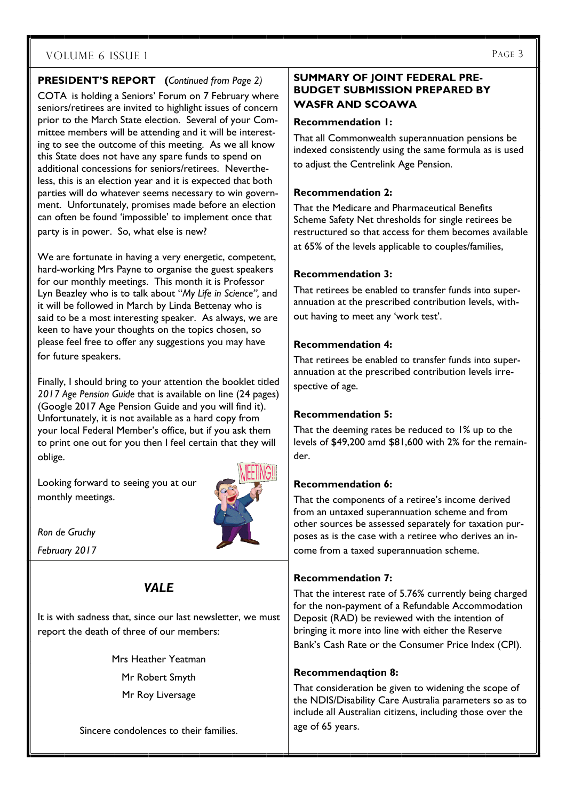## **PRESIDENT'S REPORT (***Continued from Page 2)*

COTA is holding a Seniors' Forum on 7 February where seniors/retirees are invited to highlight issues of concern prior to the March State election. Several of your Committee members will be attending and it will be interesting to see the outcome of this meeting. As we all know this State does not have any spare funds to spend on additional concessions for seniors/retirees. Nevertheless, this is an election year and it is expected that both parties will do whatever seems necessary to win government. Unfortunately, promises made before an election can often be found 'impossible' to implement once that party is in power. So, what else is new?

We are fortunate in having a very energetic, competent, hard-working Mrs Payne to organise the guest speakers for our monthly meetings. This month it is Professor Lyn Beazley who is to talk about "*My Life in Science",* and it will be followed in March by Linda Bettenay who is said to be a most interesting speaker. As always, we are keen to have your thoughts on the topics chosen, so please feel free to offer any suggestions you may have for future speakers.

Finally, I should bring to your attention the booklet titled *2017 Age Pension Guide* that is available on line (24 pages) (Google 2017 Age Pension Guide and you will find it). Unfortunately, it is not available as a hard copy from your local Federal Member's office, but if you ask them to print one out for you then I feel certain that they will oblige.

Looking forward to seeing you at our monthly meetings.



*Ron de Gruchy* 

*February 2017* 

# *VALE*

It is with sadness that, since our last newsletter, we must report the death of three of our members:

> Mrs Heather Yeatman Mr Robert Smyth Mr Roy Liversage

Sincere condolences to their families.

### **SUMMARY OF JOINT FEDERAL PRE-BUDGET SUBMISSION PREPARED BY WASFR AND SCOAWA**

#### **Recommendation 1:**

That all Commonwealth superannuation pensions be indexed consistently using the same formula as is used to adjust the Centrelink Age Pension.

### **Recommendation 2:**

That the Medicare and Pharmaceutical Benefits Scheme Safety Net thresholds for single retirees be restructured so that access for them becomes available at 65% of the levels applicable to couples/families,

## **Recommendation 3:**

That retirees be enabled to transfer funds into superannuation at the prescribed contribution levels, without having to meet any 'work test'.

## **Recommendation 4:**

That retirees be enabled to transfer funds into superannuation at the prescribed contribution levels irrespective of age.

## **Recommendation 5:**

That the deeming rates be reduced to 1% up to the levels of \$49,200 amd \$81,600 with 2% for the remainder.

## **Recommendation 6:**

That the components of a retiree's income derived from an untaxed superannuation scheme and from other sources be assessed separately for taxation purposes as is the case with a retiree who derives an income from a taxed superannuation scheme.

## **Recommendation 7:**

That the interest rate of 5.76% currently being charged for the non-payment of a Refundable Accommodation Deposit (RAD) be reviewed with the intention of bringing it more into line with either the Reserve Bank's Cash Rate or the Consumer Price Index (CPI).

## **Recommendaqtion 8:**

That consideration be given to widening the scope of the NDIS/Disability Care Australia parameters so as to include all Australian citizens, including those over the age of 65 years.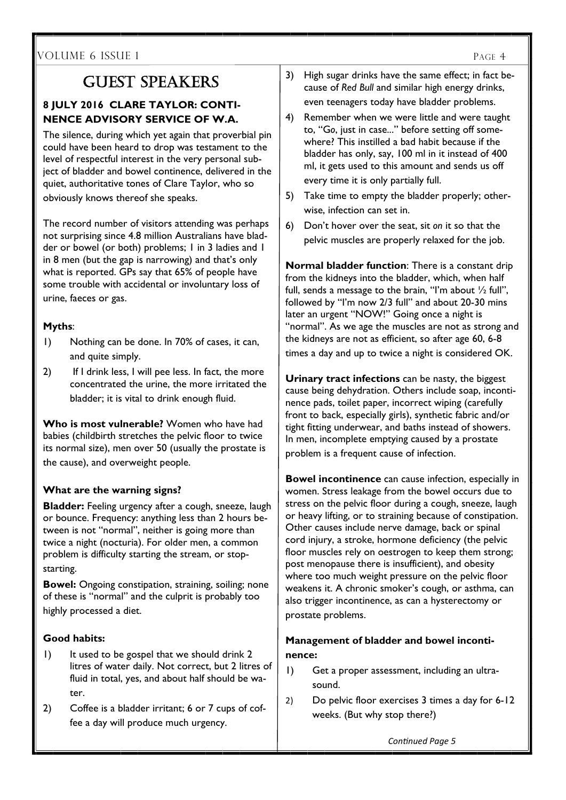## **8 JULY 2016 CLARE TAYLOR: CONTI-NENCE ADVISORY SERVICE OF W.A.**

The silence, during which yet again that proverbial pin could have been heard to drop was testament to the level of respectful interest in the very personal subject of bladder and bowel continence, delivered in the quiet, authoritative tones of Clare Taylor, who so obviously knows thereof she speaks.

The record number of visitors attending was perhaps not surprising since 4.8 million Australians have bladder or bowel (or both) problems; 1 in 3 ladies and 1 in 8 men (but the gap is narrowing) and that's only what is reported. GPs say that 65% of people have some trouble with accidental or involuntary loss of urine, faeces or gas.

## **Myths**:

 $\overline{\phantom{a}}$ 

- 1) Nothing can be done. In 70% of cases, it can, and quite simply.
- 2) If I drink less, I will pee less. In fact, the more concentrated the urine, the more irritated the bladder; it is vital to drink enough fluid.

**Who is most vulnerable?** Women who have had babies (childbirth stretches the pelvic floor to twice its normal size), men over 50 (usually the prostate is the cause), and overweight people.

## **What are the warning signs?**

**Bladder:** Feeling urgency after a cough, sneeze, laugh or bounce. Frequency: anything less than 2 hours between is not "normal", neither is going more than twice a night (nocturia). For older men, a common problem is difficulty starting the stream, or stopstarting.

**Bowel:** Ongoing constipation, straining, soiling; none of these is "normal" and the culprit is probably too highly processed a diet.

## **Good habits:**

- 1) It used to be gospel that we should drink 2 litres of water daily. Not correct, but 2 litres of fluid in total, yes, and about half should be water.
- 2) Coffee is a bladder irritant; 6 or 7 cups of coffee a day will produce much urgency.
- $GUEST$  SPEAKERS  $\vert$  3) High sugar drinks have the same effect; in fact because of *Red Bull* and similar high energy drinks, even teenagers today have bladder problems.
	- 4) Remember when we were little and were taught to, "G*o*, just in case..." before setting off somewhere? This instilled a bad habit because if the bladder has only, say, 100 ml in it instead of 400 ml, it gets used to this amount and sends us off every time it is only partially full.
	- 5) Take time to empty the bladder properly; otherwise, infection can set in.
	- 6) Don't hover over the seat, sit *on* it so that the pelvic muscles are properly relaxed for the job.

**Normal bladder function**: There is a constant drip from the kidneys into the bladder, which, when half full, sends a message to the brain, "I'm about  $\frac{1}{2}$  full", followed by "I'm now 2/3 full" and about 20-30 mins later an urgent "NOW!" Going once a night is "normal". As we age the muscles are not as strong and the kidneys are not as efficient, so after age 60, 6-8 times a day and up to twice a night is considered OK.

**Urinary tract infections** can be nasty, the biggest cause being dehydration. Others include soap, incontinence pads, toilet paper, incorrect wiping (carefully front to back, especially girls), synthetic fabric and/or tight fitting underwear, and baths instead of showers. In men, incomplete emptying caused by a prostate problem is a frequent cause of infection.

**Bowel incontinence** can cause infection, especially in women. Stress leakage from the bowel occurs due to stress on the pelvic floor during a cough, sneeze, laugh or heavy lifting, or to straining because of constipation. Other causes include nerve damage, back or spinal cord injury, a stroke, hormone deficiency (the pelvic floor muscles rely on oestrogen to keep them strong; post menopause there is insufficient), and obesity where too much weight pressure on the pelvic floor weakens it. A chronic smoker's cough, or asthma, can also trigger incontinence, as can a hysterectomy or prostate problems.

## **Management of bladder and bowel incontinence:**

- 1) Get a proper assessment, including an ultrasound.
- 2) Do pelvic floor exercises 3 times a day for 6-12 weeks. (But why stop there?)

 *ConƟnued Page 5*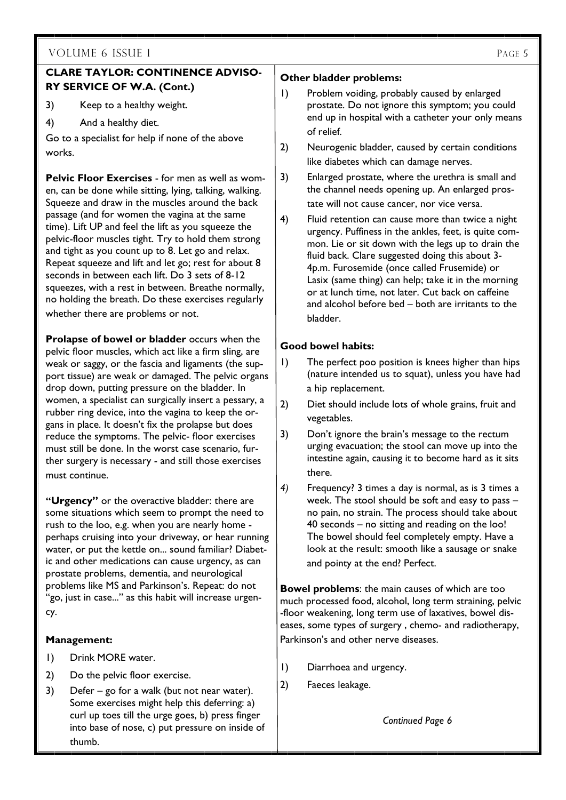## **CLARE TAYLOR: CONTINENCE ADVISO-RY SERVICE OF W.A. (Cont.)**

3) Keep to a healthy weight.

4) And a healthy diet.

Go to a specialist for help if none of the above works.

**Pelvic Floor Exercises - for men as well as wom**en, can be done while sitting, lying, talking, walking. Squeeze and draw in the muscles around the back passage (and for women the vagina at the same time). Lift UP and feel the lift as you squeeze the pelvic-floor muscles tight. Try to hold them strong and tight as you count up to 8. Let go and relax. Repeat squeeze and lift and let go; rest for about 8 seconds in between each lift. Do 3 sets of 8-12 squeezes, with a rest in between. Breathe normally, no holding the breath. Do these exercises regularly whether there are problems or not.

**Prolapse of bowel or bladder** occurs when the pelvic floor muscles, which act like a firm sling, are weak or saggy, or the fascia and ligaments (the support tissue) are weak or damaged. The pelvic organs drop down, putting pressure on the bladder. In women, a specialist can surgically insert a pessary, a rubber ring device, into the vagina to keep the organs in place. It doesn't fix the prolapse but does reduce the symptoms. The pelvic- floor exercises must still be done. In the worst case scenario, further surgery is necessary - and still those exercises must continue.

**"Urgency"** or the overactive bladder: there are some situations which seem to prompt the need to rush to the loo, e.g. when you are nearly home perhaps cruising into your driveway, or hear running water, or put the kettle on... sound familiar? Diabetic and other medications can cause urgency, as can prostate problems, dementia, and neurological problems like MS and Parkinson's. Repeat: do not "go, just in case..." as this habit will increase urgency.

#### **Management:**

- 1) Drink MORE water.
- 2) Do the pelvic floor exercise.
- 3) Defer go for a walk (but not near water). Some exercises might help this deferring: a) curl up toes till the urge goes, b) press finger into base of nose, c) put pressure on inside of thumb.

#### **Other bladder problems:**

- 1) Problem voiding, probably caused by enlarged prostate. Do not ignore this symptom; you could end up in hospital with a catheter your only means of relief.
- 2) Neurogenic bladder, caused by certain conditions like diabetes which can damage nerves.
- 3) Enlarged prostate, where the urethra is small and the channel needs opening up. An enlarged prostate will not cause cancer, nor vice versa.
- 4) Fluid retention can cause more than twice a night urgency. Puffiness in the ankles, feet, is quite common. Lie or sit down with the legs up to drain the fluid back. Clare suggested doing this about 3- 4p.m. Furosemide (once called Frusemide) or Lasix (same thing) can help; take it in the morning or at lunch time, not later. Cut back on caffeine and alcohol before bed – both are irritants to the bladder.

## **Good bowel habits:**

- 1) The perfect poo position is knees higher than hips (nature intended us to squat), unless you have had a hip replacement.
- 2) Diet should include lots of whole grains, fruit and vegetables.
- 3) Don't ignore the brain's message to the rectum urging evacuation; the stool can move up into the intestine again, causing it to become hard as it sits there.
- *4)* Frequency? 3 times a day is normal, as is 3 times a week. The stool should be soft and easy to pass – no pain, no strain. The process should take about 40 seconds – no sitting and reading on the loo! The bowel should feel completely empty. Have a look at the result: smooth like a sausage or snake and pointy at the end? Perfect.

**Bowel problems**: the main causes of which are too much processed food, alcohol, long term straining, pelvic -floor weakening, long term use of laxatives, bowel diseases, some types of surgery , chemo- and radiotherapy, Parkinson's and other nerve diseases.

- 1) Diarrhoea and urgency.
- 2) Faeces leakage.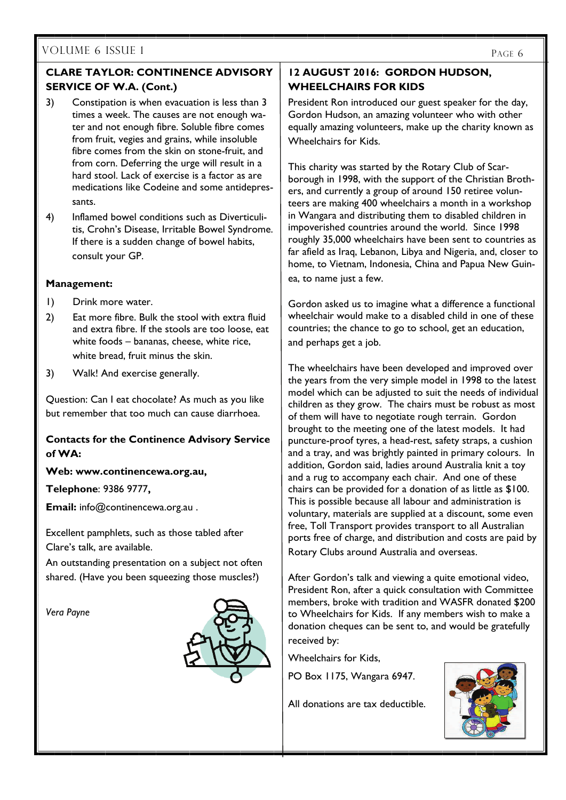## VOLUME 6 ISSUE 1

## **CLARE TAYLOR: CONTINENCE ADVISORY SERVICE OF W.A. (Cont.)**

- 3) Constipation is when evacuation is less than 3 times a week. The causes are not enough water and not enough fibre. Soluble fibre comes from fruit, vegies and grains, while insoluble fibre comes from the skin on stone-fruit, and from corn. Deferring the urge will result in a hard stool. Lack of exercise is a factor as are medications like Codeine and some antidepressants.
- 4) Inflamed bowel conditions such as Diverticulitis, Crohn's Disease, Irritable Bowel Syndrome. If there is a sudden change of bowel habits, consult your GP.

#### **Management:**

- 1) Drink more water.
- 2) Eat more fibre. Bulk the stool with extra fluid and extra fibre. If the stools are too loose, eat white foods – bananas, cheese, white rice, white bread, fruit minus the skin.
- 3) Walk! And exercise generally.

Question: Can I eat chocolate? As much as you like but remember that too much can cause diarrhoea.

## **Contacts for the Continence Advisory Service of WA:**

#### **Web: www.continencewa.org.au,**

**Telephone**: 9386 9777**,** 

**Email:** info@continencewa.org.au .

Excellent pamphlets, such as those tabled after Clare's talk, are available.

An outstanding presentation on a subject not often shared. (Have you been squeezing those muscles?)

*Vera Payne* 



## **12 AUGUST 2016: GORDON HUDSON, WHEELCHAIRS FOR KIDS**

President Ron introduced our guest speaker for the day, Gordon Hudson, an amazing volunteer who with other equally amazing volunteers, make up the charity known as Wheelchairs for Kids.

This charity was started by the Rotary Club of Scarborough in 1998, with the support of the Christian Brothers, and currently a group of around 150 retiree volunteers are making 400 wheelchairs a month in a workshop in Wangara and distributing them to disabled children in impoverished countries around the world. Since 1998 roughly 35,000 wheelchairs have been sent to countries as far afield as Iraq, Lebanon, Libya and Nigeria, and, closer to home, to Vietnam, Indonesia, China and Papua New Guinea, to name just a few.

Gordon asked us to imagine what a difference a functional wheelchair would make to a disabled child in one of these countries; the chance to go to school, get an education, and perhaps get a job.

The wheelchairs have been developed and improved over the years from the very simple model in 1998 to the latest model which can be adjusted to suit the needs of individual children as they grow. The chairs must be robust as most of them will have to negotiate rough terrain. Gordon brought to the meeting one of the latest models. It had puncture-proof tyres, a head-rest, safety straps, a cushion and a tray, and was brightly painted in primary colours. In addition, Gordon said, ladies around Australia knit a toy and a rug to accompany each chair. And one of these chairs can be provided for a donation of as little as \$100. This is possible because all labour and administration is voluntary, materials are supplied at a discount, some even free, Toll Transport provides transport to all Australian ports free of charge, and distribution and costs are paid by Rotary Clubs around Australia and overseas.

After Gordon's talk and viewing a quite emotional video, President Ron, after a quick consultation with Committee members, broke with tradition and WASFR donated \$200 to Wheelchairs for Kids. If any members wish to make a donation cheques can be sent to, and would be gratefully received by:

Wheelchairs for Kids,

PO Box 1175, Wangara 6947.

All donations are tax deductible.

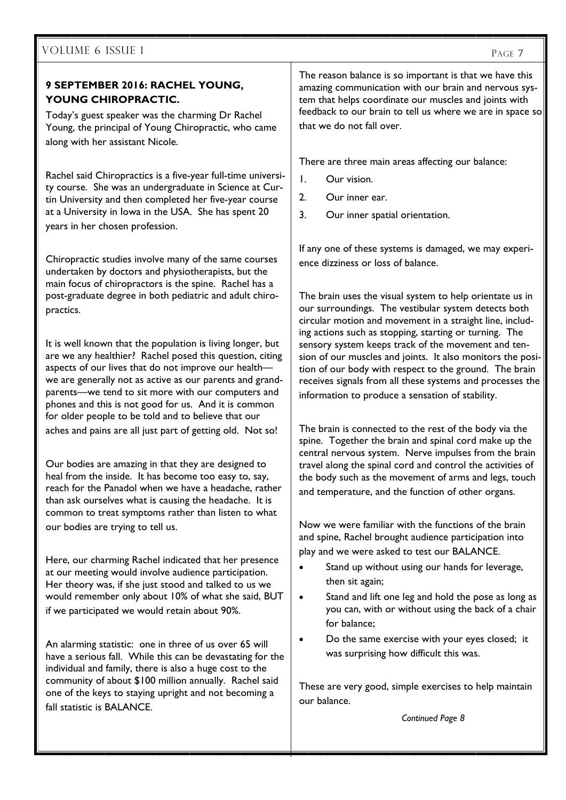## **9 SEPTEMBER 2016: RACHEL YOUNG, YOUNG CHIROPRACTIC.**

Today's guest speaker was the charming Dr Rachel Young, the principal of Young Chiropractic, who came along with her assistant Nicole.

Rachel said Chiropractics is a five-year full-time university course. She was an undergraduate in Science at Curtin University and then completed her five-year course at a University in Iowa in the USA. She has spent 20 years in her chosen profession.

Chiropractic studies involve many of the same courses undertaken by doctors and physiotherapists, but the main focus of chiropractors is the spine. Rachel has a post-graduate degree in both pediatric and adult chiropractics.

It is well known that the population is living longer, but are we any healthier? Rachel posed this question, citing aspects of our lives that do not improve our health we are generally not as active as our parents and grandparents—we tend to sit more with our computers and phones and this is not good for us. And it is common for older people to be told and to believe that our aches and pains are all just part of getting old. Not so!

Our bodies are amazing in that they are designed to heal from the inside. It has become too easy to, say, reach for the Panadol when we have a headache, rather than ask ourselves what is causing the headache. It is common to treat symptoms rather than listen to what our bodies are trying to tell us.

Here, our charming Rachel indicated that her presence at our meeting would involve audience participation. Her theory was, if she just stood and talked to us we would remember only about 10% of what she said, BUT if we participated we would retain about 90%.

An alarming statistic: one in three of us over 65 will have a serious fall. While this can be devastating for the individual and family, there is also a huge cost to the community of about \$100 million annually. Rachel said one of the keys to staying upright and not becoming a fall statistic is BALANCE.

The reason balance is so important is that we have this amazing communication with our brain and nervous system that helps coordinate our muscles and joints with feedback to our brain to tell us where we are in space so that we do not fall over.

There are three main areas affecting our balance:

- 1. Our vision.
- 2. Our inner ear.
- 3. Our inner spatial orientation.

If any one of these systems is damaged, we may experience dizziness or loss of balance.

The brain uses the visual system to help orientate us in our surroundings. The vestibular system detects both circular motion and movement in a straight line, including actions such as stopping, starting or turning. The sensory system keeps track of the movement and tension of our muscles and joints. It also monitors the position of our body with respect to the ground. The brain receives signals from all these systems and processes the information to produce a sensation of stability.

The brain is connected to the rest of the body via the spine. Together the brain and spinal cord make up the central nervous system. Nerve impulses from the brain travel along the spinal cord and control the activities of the body such as the movement of arms and legs, touch and temperature, and the function of other organs.

Now we were familiar with the functions of the brain and spine, Rachel brought audience participation into play and we were asked to test our BALANCE.

- Stand up without using our hands for leverage, then sit again;
- Stand and lift one leg and hold the pose as long as you can, with or without using the back of a chair for balance;
- Do the same exercise with your eyes closed; it was surprising how difficult this was.

These are very good, simple exercises to help maintain our balance.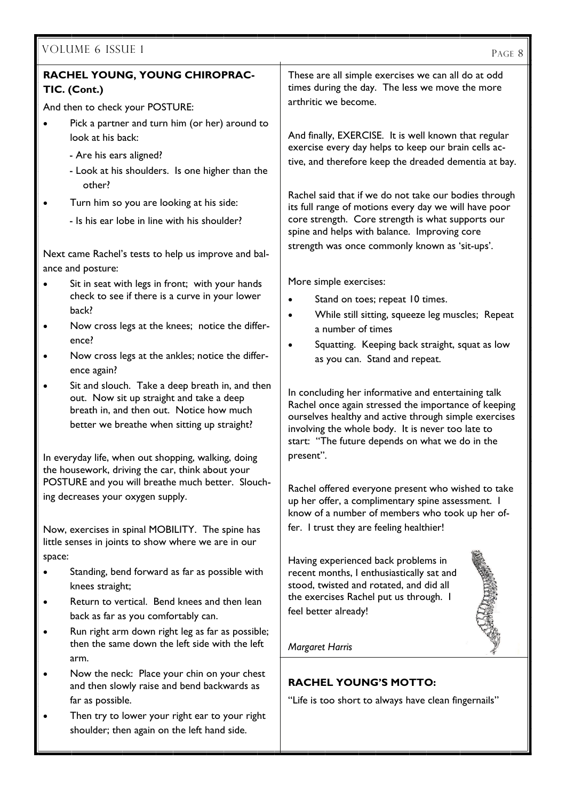| VOLUME 6 ISSUE 1                                                                                                                                                                                    | PAGE 8                                                                                                                                                                                                                                                                       |  |
|-----------------------------------------------------------------------------------------------------------------------------------------------------------------------------------------------------|------------------------------------------------------------------------------------------------------------------------------------------------------------------------------------------------------------------------------------------------------------------------------|--|
| RACHEL YOUNG, YOUNG CHIROPRAC-<br>TIC. (Cont.)                                                                                                                                                      | These are all simple exercises we can all do at odd<br>times during the day. The less we move the more                                                                                                                                                                       |  |
| And then to check your POSTURE:                                                                                                                                                                     | arthritic we become.                                                                                                                                                                                                                                                         |  |
| Pick a partner and turn him (or her) around to                                                                                                                                                      |                                                                                                                                                                                                                                                                              |  |
| look at his back:                                                                                                                                                                                   | And finally, EXERCISE. It is well known that regular                                                                                                                                                                                                                         |  |
| - Are his ears aligned?                                                                                                                                                                             | exercise every day helps to keep our brain cells ac-                                                                                                                                                                                                                         |  |
| - Look at his shoulders. Is one higher than the<br>other?                                                                                                                                           | tive, and therefore keep the dreaded dementia at bay.                                                                                                                                                                                                                        |  |
| Turn him so you are looking at his side:                                                                                                                                                            | Rachel said that if we do not take our bodies through<br>its full range of motions every day we will have poor                                                                                                                                                               |  |
| - Is his ear lobe in line with his shoulder?                                                                                                                                                        | core strength. Core strength is what supports our<br>spine and helps with balance. Improving core                                                                                                                                                                            |  |
| Next came Rachel's tests to help us improve and bal-                                                                                                                                                | strength was once commonly known as 'sit-ups'.                                                                                                                                                                                                                               |  |
| ance and posture:                                                                                                                                                                                   |                                                                                                                                                                                                                                                                              |  |
| Sit in seat with legs in front; with your hands<br>$\bullet$                                                                                                                                        | More simple exercises:                                                                                                                                                                                                                                                       |  |
| check to see if there is a curve in your lower                                                                                                                                                      | Stand on toes; repeat 10 times.                                                                                                                                                                                                                                              |  |
| back?                                                                                                                                                                                               | While still sitting, squeeze leg muscles; Repeat<br>$\bullet$                                                                                                                                                                                                                |  |
| Now cross legs at the knees; notice the differ-<br>٠<br>ence?                                                                                                                                       | a number of times                                                                                                                                                                                                                                                            |  |
| Now cross legs at the ankles; notice the differ-<br>$\bullet$                                                                                                                                       | Squatting. Keeping back straight, squat as low                                                                                                                                                                                                                               |  |
| ence again?                                                                                                                                                                                         | as you can. Stand and repeat.                                                                                                                                                                                                                                                |  |
| Sit and slouch. Take a deep breath in, and then<br>$\bullet$<br>out. Now sit up straight and take a deep<br>breath in, and then out. Notice how much<br>better we breathe when sitting up straight? | In concluding her informative and entertaining talk<br>Rachel once again stressed the importance of keeping<br>ourselves healthy and active through simple exercises<br>involving the whole body. It is never too late to<br>start: "The future depends on what we do in the |  |
| In everyday life, when out shopping, walking, doing                                                                                                                                                 | present".                                                                                                                                                                                                                                                                    |  |
| the housework, driving the car, think about your<br>POSTURE and you will breathe much better. Slouch-                                                                                               |                                                                                                                                                                                                                                                                              |  |
| ing decreases your oxygen supply.                                                                                                                                                                   | Rachel offered everyone present who wished to take<br>up her offer, a complimentary spine assessment. I                                                                                                                                                                      |  |
|                                                                                                                                                                                                     | know of a number of members who took up her of-                                                                                                                                                                                                                              |  |
| Now, exercises in spinal MOBILITY. The spine has<br>little senses in joints to show where we are in our                                                                                             | fer. I trust they are feeling healthier!                                                                                                                                                                                                                                     |  |
| space:                                                                                                                                                                                              | Having experienced back problems in                                                                                                                                                                                                                                          |  |
| Standing, bend forward as far as possible with<br>knees straight;                                                                                                                                   | recent months, I enthusiastically sat and<br>stood, twisted and rotated, and did all                                                                                                                                                                                         |  |
| Return to vertical. Bend knees and then lean                                                                                                                                                        | the exercises Rachel put us through. I                                                                                                                                                                                                                                       |  |
| back as far as you comfortably can.                                                                                                                                                                 | feel better already!                                                                                                                                                                                                                                                         |  |
| Run right arm down right leg as far as possible;<br>then the same down the left side with the left<br>arm.                                                                                          | <b>Margaret Harris</b>                                                                                                                                                                                                                                                       |  |
| Now the neck: Place your chin on your chest                                                                                                                                                         |                                                                                                                                                                                                                                                                              |  |
| and then slowly raise and bend backwards as                                                                                                                                                         | <b>RACHEL YOUNG'S MOTTO:</b>                                                                                                                                                                                                                                                 |  |
| far as possible.                                                                                                                                                                                    | "Life is too short to always have clean fingernails"                                                                                                                                                                                                                         |  |
| Then try to lower your right ear to your right                                                                                                                                                      |                                                                                                                                                                                                                                                                              |  |

shoulder; then again on the left hand side.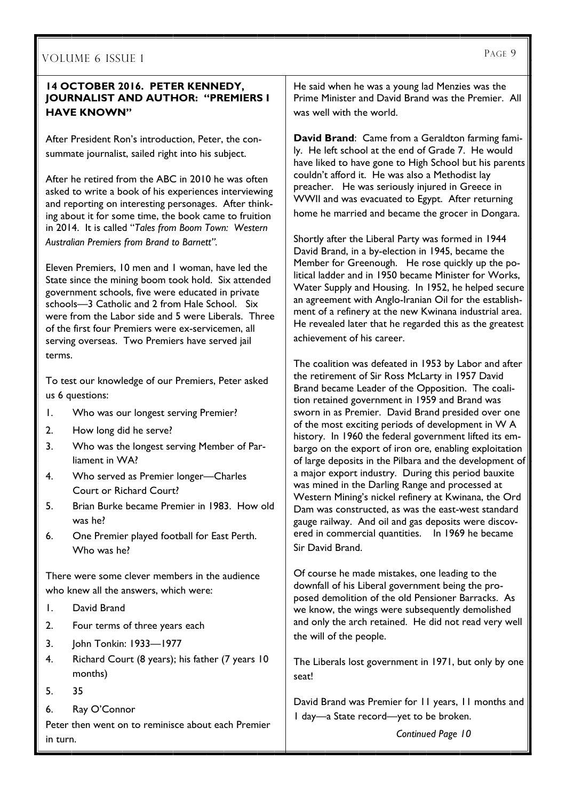### **14 OCTOBER 2016. PETER KENNEDY, JOURNALIST AND AUTHOR: "PREMIERS I HAVE KNOWN"**

After President Ron's introduction, Peter, the consummate journalist, sailed right into his subject.

After he retired from the ABC in 2010 he was often asked to write a book of his experiences interviewing and reporting on interesting personages. After thinking about it for some time, the book came to fruition in 2014. It is called "*Tales from Boom Town: Western Australian Premiers from Brand to Barnett".*

Eleven Premiers, 10 men and 1 woman, have led the State since the mining boom took hold. Six attended government schools, five were educated in private schools—3 Catholic and 2 from Hale School. Six were from the Labor side and 5 were Liberals. Three of the first four Premiers were ex-servicemen, all serving overseas. Two Premiers have served jail terms.

To test our knowledge of our Premiers, Peter asked us 6 questions:

- 1. Who was our longest serving Premier?
- 2. How long did he serve?
- 3. Who was the longest serving Member of Parliament in WA?
- 4. Who served as Premier longer—Charles Court or Richard Court?
- 5. Brian Burke became Premier in 1983. How old was he?
- 6. One Premier played football for East Perth. Who was he?

There were some clever members in the audience who knew all the answers, which were:

- 1. David Brand
- 2. Four terms of three years each
- 3. John Tonkin: 1933—1977
- 4. Richard Court (8 years); his father (7 years 10 months)
- 5. 35
- 6. Ray O'Connor

Peter then went on to reminisce about each Premier in turn.

He said when he was a young lad Menzies was the Prime Minister and David Brand was the Premier. All was well with the world.

**David Brand**: Came from a Geraldton farming family. He left school at the end of Grade 7. He would have liked to have gone to High School but his parents couldn't afford it. He was also a Methodist lay preacher. He was seriously injured in Greece in WWII and was evacuated to Egypt. After returning home he married and became the grocer in Dongara.

Shortly after the Liberal Party was formed in 1944 David Brand, in a by-election in 1945, became the Member for Greenough. He rose quickly up the political ladder and in 1950 became Minister for Works, Water Supply and Housing. In 1952, he helped secure an agreement with Anglo-Iranian Oil for the establishment of a refinery at the new Kwinana industrial area. He revealed later that he regarded this as the greatest achievement of his career.

The coalition was defeated in 1953 by Labor and after the retirement of Sir Ross McLarty in 1957 David Brand became Leader of the Opposition. The coalition retained government in 1959 and Brand was sworn in as Premier. David Brand presided over one of the most exciting periods of development in W A history. In 1960 the federal government lifted its embargo on the export of iron ore, enabling exploitation of large deposits in the Pilbara and the development of a major export industry. During this period bauxite was mined in the Darling Range and processed at Western Mining's nickel refinery at Kwinana, the Ord Dam was constructed, as was the east-west standard gauge railway. And oil and gas deposits were discovered in commercial quantities. In 1969 he became Sir David Brand.

Of course he made mistakes, one leading to the downfall of his Liberal government being the proposed demolition of the old Pensioner Barracks. As we know, the wings were subsequently demolished and only the arch retained. He did not read very well the will of the people.

The Liberals lost government in 1971, but only by one seat!

David Brand was Premier for 11 years, 11 months and 1 day—a State record—yet to be broken.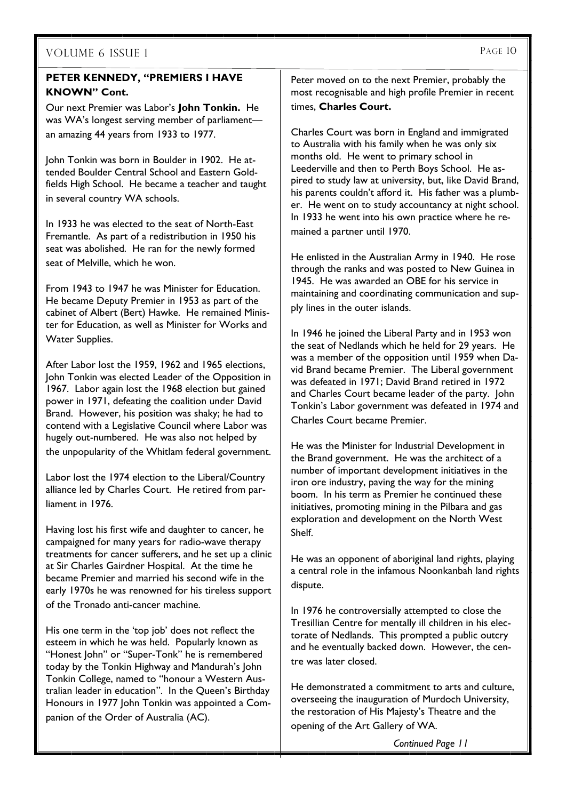## **PETER KENNEDY, "PREMIERS I HAVE KNOWN" Cont.**

Our next Premier was Labor's **John Tonkin.** He was WA's longest serving member of parliament an amazing 44 years from 1933 to 1977.

John Tonkin was born in Boulder in 1902. He attended Boulder Central School and Eastern Goldfields High School. He became a teacher and taught in several country WA schools.

In 1933 he was elected to the seat of North-East Fremantle. As part of a redistribution in 1950 his seat was abolished. He ran for the newly formed seat of Melville, which he won.

From 1943 to 1947 he was Minister for Education. He became Deputy Premier in 1953 as part of the cabinet of Albert (Bert) Hawke. He remained Minister for Education, as well as Minister for Works and Water Supplies.

After Labor lost the 1959, 1962 and 1965 elections, John Tonkin was elected Leader of the Opposition in 1967. Labor again lost the 1968 election but gained power in 1971, defeating the coalition under David Brand. However, his position was shaky; he had to contend with a Legislative Council where Labor was hugely out-numbered. He was also not helped by the unpopularity of the Whitlam federal government.

Labor lost the 1974 election to the Liberal/Country alliance led by Charles Court. He retired from parliament in 1976.

Having lost his first wife and daughter to cancer, he campaigned for many years for radio-wave therapy treatments for cancer sufferers, and he set up a clinic at Sir Charles Gairdner Hospital. At the time he became Premier and married his second wife in the early 1970s he was renowned for his tireless support of the Tronado anti-cancer machine.

His one term in the 'top job' does not reflect the esteem in which he was held. Popularly known as "Honest John" or "Super-Tonk" he is remembered today by the Tonkin Highway and Mandurah's John Tonkin College, named to "honour a Western Australian leader in education". In the Queen's Birthday Honours in 1977 John Tonkin was appointed a Companion of the Order of Australia (AC).

Peter moved on to the next Premier, probably the most recognisable and high profile Premier in recent times, **Charles Court.** 

Charles Court was born in England and immigrated to Australia with his family when he was only six months old. He went to primary school in Leederville and then to Perth Boys School. He aspired to study law at university, but, like David Brand, his parents couldn't afford it. His father was a plumber. He went on to study accountancy at night school. In 1933 he went into his own practice where he remained a partner until 1970.

He enlisted in the Australian Army in 1940. He rose through the ranks and was posted to New Guinea in 1945. He was awarded an OBE for his service in maintaining and coordinating communication and supply lines in the outer islands.

In 1946 he joined the Liberal Party and in 1953 won the seat of Nedlands which he held for 29 years. He was a member of the opposition until 1959 when David Brand became Premier. The Liberal government was defeated in 1971; David Brand retired in 1972 and Charles Court became leader of the party. John Tonkin's Labor government was defeated in 1974 and Charles Court became Premier.

He was the Minister for Industrial Development in the Brand government. He was the architect of a number of important development initiatives in the iron ore industry, paving the way for the mining boom. In his term as Premier he continued these initiatives, promoting mining in the Pilbara and gas exploration and development on the North West Shelf.

He was an opponent of aboriginal land rights, playing a central role in the infamous Noonkanbah land rights dispute.

In 1976 he controversially attempted to close the Tresillian Centre for mentally ill children in his electorate of Nedlands. This prompted a public outcry and he eventually backed down. However, the centre was later closed.

He demonstrated a commitment to arts and culture, overseeing the inauguration of Murdoch University, the restoration of His Majesty's Theatre and the opening of the Art Gallery of WA.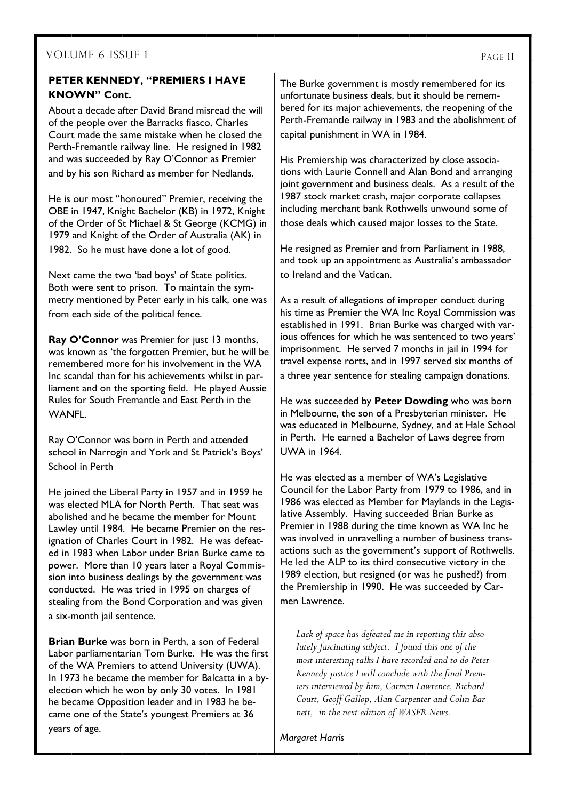## **PETER KENNEDY, "PREMIERS I HAVE KNOWN" Cont.**

About a decade after David Brand misread the will of the people over the Barracks fiasco, Charles Court made the same mistake when he closed the Perth-Fremantle railway line. He resigned in 1982 and was succeeded by Ray O'Connor as Premier and by his son Richard as member for Nedlands.

He is our most "honoured" Premier, receiving the OBE in 1947, Knight Bachelor (KB) in 1972, Knight of the Order of St Michael & St George (KCMG) in 1979 and Knight of the Order of Australia (AK) in 1982. So he must have done a lot of good.

Next came the two 'bad boys' of State politics. Both were sent to prison. To maintain the symmetry mentioned by Peter early in his talk, one was from each side of the political fence.

**Ray O'Connor** was Premier for just 13 months, was known as 'the forgotten Premier, but he will be remembered more for his involvement in the WA Inc scandal than for his achievements whilst in parliament and on the sporting field. He played Aussie Rules for South Fremantle and East Perth in the **WANFL.** 

Ray O'Connor was born in Perth and attended school in Narrogin and York and St Patrick's Boys' School in Perth

He joined the Liberal Party in 1957 and in 1959 he was elected MLA for North Perth. That seat was abolished and he became the member for Mount Lawley until 1984. He became Premier on the resignation of Charles Court in 1982. He was defeated in 1983 when Labor under Brian Burke came to power. More than 10 years later a Royal Commission into business dealings by the government was conducted. He was tried in 1995 on charges of stealing from the Bond Corporation and was given a six-month jail sentence.

**Brian Burke** was born in Perth, a son of Federal Labor parliamentarian Tom Burke. He was the first of the WA Premiers to attend University (UWA). In 1973 he became the member for Balcatta in a byelection which he won by only 30 votes. In 1981 he became Opposition leader and in 1983 he became one of the State's youngest Premiers at 36 years of age.

The Burke government is mostly remembered for its unfortunate business deals, but it should be remembered for its major achievements, the reopening of the Perth-Fremantle railway in 1983 and the abolishment of capital punishment in WA in 1984.

His Premiership was characterized by close associations with Laurie Connell and Alan Bond and arranging joint government and business deals. As a result of the 1987 stock market crash, major corporate collapses including merchant bank Rothwells unwound some of those deals which caused major losses to the State.

He resigned as Premier and from Parliament in 1988, and took up an appointment as Australia's ambassador to Ireland and the Vatican.

As a result of allegations of improper conduct during his time as Premier the WA Inc Royal Commission was established in 1991. Brian Burke was charged with various offences for which he was sentenced to two years' imprisonment. He served 7 months in jail in 1994 for travel expense rorts, and in 1997 served six months of a three year sentence for stealing campaign donations.

He was succeeded by **Peter Dowding** who was born in Melbourne, the son of a Presbyterian minister. He was educated in Melbourne, Sydney, and at Hale School in Perth. He earned a Bachelor of Laws degree from UWA in 1964.

He was elected as a member of WA's Legislative Council for the Labor Party from 1979 to 1986, and in 1986 was elected as Member for Maylands in the Legislative Assembly. Having succeeded Brian Burke as Premier in 1988 during the time known as WA Inc he was involved in unravelling a number of business transactions such as the government's support of Rothwells. He led the ALP to its third consecutive victory in the 1989 election, but resigned (or was he pushed?) from the Premiership in 1990. He was succeeded by Carmen Lawrence.

*Lack of space has defeated me in reporting this absolutely fascinating subject. I found this one of the most interesting talks I have recorded and to do Peter Kennedy justice I will conclude with the final Premiers interviewed by him, Carmen Lawrence, Richard Court, Geoff Gallop, Alan Carpenter and Colin Barnett, in the next edition of WASFR News.* 

*Margaret Harris*